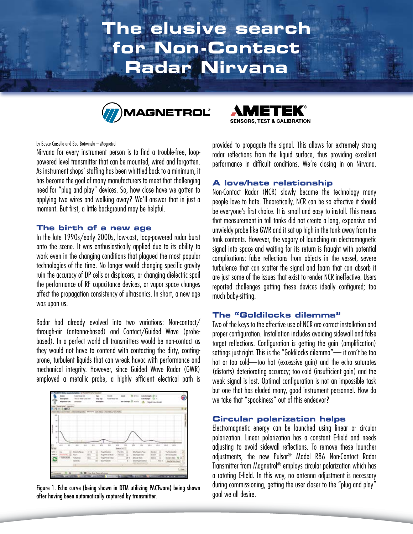# **The elusive search for Non-Contact Radar Nirvana**





#### by Boyce Carsella and Bob Botwinski – Magnetrol

Nirvana for every instrument person is to find a trouble-free, looppowered level transmitter that can be mounted, wired and forgotten. As instrument shops' staffing has been whittled back to a minimum, it has become the goal of many manufacturers to meet that challenging need for "plug and play" devices. So, how close have we gotten to applying two wires and walking away? We'll answer that in just a moment. But first, a little background may be helpful.

### **The birth of a new age**

In the late 1990s/early 2000s, low-cost, loop-powered radar burst onto the scene. It was enthusiastically applied due to its ability to work even in the changing conditions that plagued the most popular technologies of the time. No longer would changing specific gravity ruin the accuracy of DP cells or displacers, or changing dielectric spoil the performance of RF capacitance devices, or vapor space changes affect the propagation consistency of ultrasonics. In short, a new age was upon us.

Radar had already evolved into two variations: Non-contact/ through-air (antenna-based) and Contact/Guided Wave (probebased). In a perfect world all transmitters would be non-contact as they would not have to contend with contacting the dirty, coatingprone, turbulent liquids that can wreak havoc with performance and mechanical integrity. However, since Guided Wave Radar (GWR) employed a metallic probe, a highly efficient electrical path is



Figure 1. Echo curve (being shown in DTM utilizing PACTware) being shown after having been automatically captured by transmitter.

provided to propagate the signal. This allows for extremely strong radar reflections from the liquid surface, thus providing excellent performance in difficult conditions. We're closing in on Nirvana.

#### **A love/hate relationship**

Non-Contact Radar (NCR) slowly became the technology many people love to hate. Theoretically, NCR can be so effective it should be everyone's first choice. It is small and easy to install. This means that measurement in tall tanks did not create a long, expensive and unwieldy probe like GWR and it sat up high in the tank away from the tank contents. However, the vagary of launching an electromagnetic signal into space and waiting for its return is fraught with potential complications: false reflections from objects in the vessel, severe turbulence that can scatter the signal and foam that can absorb it are just some of the issues that exist to render NCR ineffective. Users reported challenges getting these devices ideally configured; too much baby-sitting.

#### **The "Goldilocks dilemma"**

Two of the keys to the effective use of NCR are correct installation and proper configuration. Installation includes avoiding sidewall and false target reflections. Configuration is getting the gain (amplification) settings just right. This is the "Goldilocks dilemma"— it can't be too hot or too cold—too hot (excessive gain) and the echo saturates (distorts) deteriorating accuracy; too cold (insufficient gain) and the weak signal is lost. Optimal configuration is not an impossible task but one that has eluded many, good instrument personnel. How do we take that "spookiness" out of this endeavor?

### **Circular polarization helps**

Electromagnetic energy can be launched using linear or circular polarization. Linear polarization has a constant E-field and needs adjusting to avoid sidewall reflections. To remove these launcher adjustments, the new Pulsar® Model R86 Non-Contact Radar Transmitter from Magnetrol® employs circular polarization which has a rotating E-field. In this way, no antenna adjustment is necessary during commissioning, getting the user closer to the "plug and play" goal we all desire.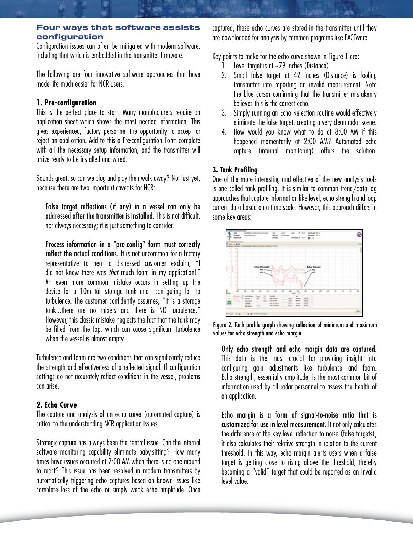## **Four ways that software assists configuration**

Configuration issues can often be mitigated with modern software, including that which is embedded in the transmitter firmware.

The following are four innovative software approaches that have made life much easier for NCR users.

## **1. Pre-configuration**

This is the perfect place to start. Many manufacturers require an application sheet which shows the most needed information. This gives experienced, factory personnel the opportunity to accept or reject an application. Add to this a Pre-configuration Form complete with all the necessary setup information, and the transmitter will arrive ready to be installed and wired.

Sounds great, so can we plug and play then walk away? Not just yet, because there are two important caveats for NCR:

False target reflections (if any) in a vessel can only be addressed after the transmitter is installed. This is not difficult, nor always necessary; it is just something to consider.

Process information in a "pre-config" form must correctly reflect the actual conditions. It is not uncommon for a factory representative to hear a distressed customer exclaim, "I did not know there was *that* much foam in my application!" An even more common mistake occurs in setting up the device for a 10m tall storage tank and configuring for no turbulence. The customer confidently assumes, "It is a storage tank...there are no mixers and there is NO turbulence." However, this classic mistake neglects the fact that the tank may be filled from the top, which can cause significant turbulence when the vessel is almost empty.

Turbulence and foam are two conditions that can significantly reduce the strength and effectiveness of a reflected signal. If configuration settings do not accurately reflect conditions in the vessel, problems can arise.

# **2. Echo Curve**

The capture and analysis of an echo curve (automated capture) is critical to the understanding NCR application issues.

Strategic capture has always been the central issue. Can the internal software monitoring capability eliminate baby-sitting? How many times have issues occurred at 2:00 AM when there is no one around to react? This issue has been resolved in modern transmitters by automatically triggering echo captures based on known issues like complete loss of the echo or simply weak echo amplitude. Once captured, these echo curves are stored in the transmitter until they are downloaded for analysis by common programs like PACTware.

Key points to make for the echo curve shown in Figure 1 are:

- 1. Level target is at  $\sim$ 79 inches (Distance)
- 2. Small false target at 42 inches (Distance) is fooling transmitter into reporting an invalid measurement. Note the blue cursor confirming that the transmitter mistakenly believes this is the correct echo.
- 3. Simply running an Echo Rejection routine would effectively eliminate the false target, creating a very clean radar scene.
- 4. How would you know what to do at 8:00 AM if this happened momentarily at 2:00 AM? Automated echo capture (internal monitoring) offers the solution.

# **3. Tank Profiling**

One of the more interesting and effective of the new analysis tools is one called tank profiling. It is similar to common trend/data log approaches that capture information like level, echo strength and loop current data based on a time scale. However, this approach differs in some key areas:



Figure 2. Tank profile graph showing collection of minimum and maximum values for echo strength and echo margin

Only echo strength and echo margin data are captured. This data is the most crucial for providing insight into configuring gain adjustments like turbulence and foam. Echo strength, essentially amplitude, is the most common bit of information used by all radar personnel to assess the health of an application.

Echo margin is a form of signal-to-noise ratio that is customized for use in level measurement. It not only calculates the difference of the key level reflection to noise (false targets), it also calculates their relative strength in relation to the current threshold. In this way, echo margin alerts users when a false target is getting close to rising above the threshold, thereby becoming a "valid" target that could be reported as an invalid level value.